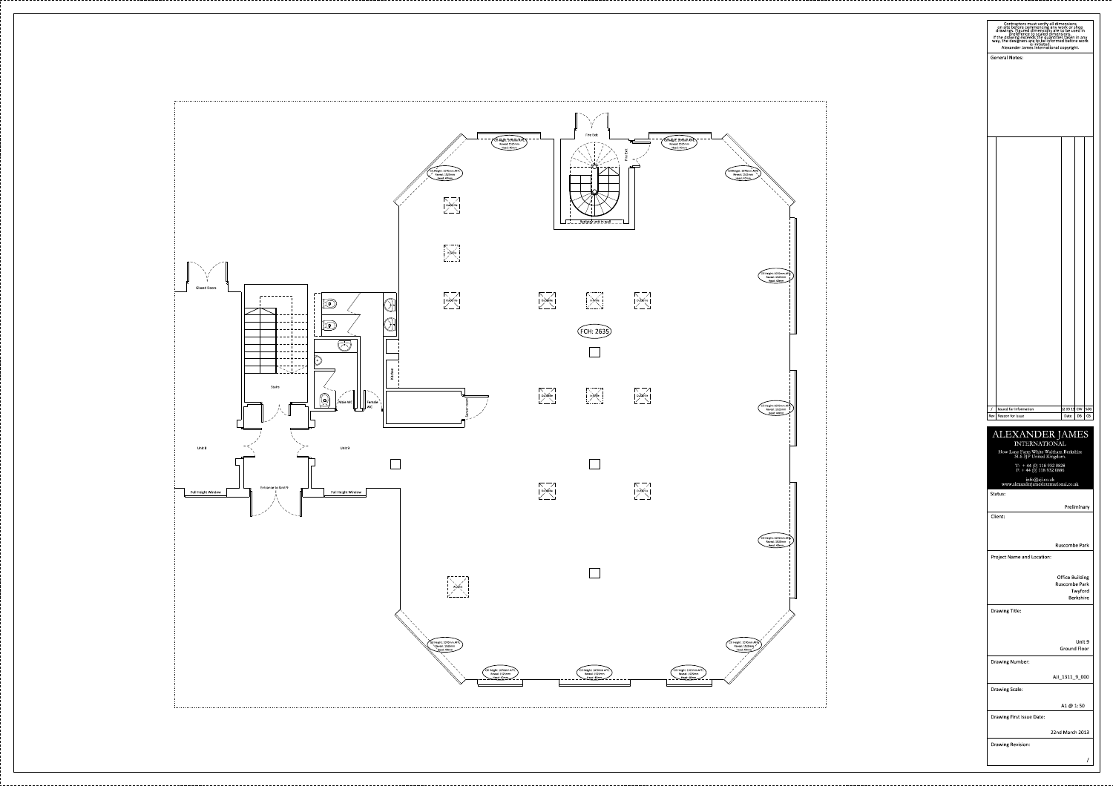

| Contractors must verify all dimensions<br>on site before commencing any work or shop<br>drawings. Figured dimensions are to be used in<br>preference to scaled dimensions.<br>If the drawing exceeds the quantities taken in any<br>way, the |                                                |
|----------------------------------------------------------------------------------------------------------------------------------------------------------------------------------------------------------------------------------------------|------------------------------------------------|
|                                                                                                                                                                                                                                              |                                                |
| <b>General Notes:</b>                                                                                                                                                                                                                        |                                                |
|                                                                                                                                                                                                                                              |                                                |
|                                                                                                                                                                                                                                              |                                                |
|                                                                                                                                                                                                                                              |                                                |
|                                                                                                                                                                                                                                              |                                                |
|                                                                                                                                                                                                                                              |                                                |
|                                                                                                                                                                                                                                              |                                                |
|                                                                                                                                                                                                                                              |                                                |
|                                                                                                                                                                                                                                              |                                                |
|                                                                                                                                                                                                                                              |                                                |
|                                                                                                                                                                                                                                              |                                                |
|                                                                                                                                                                                                                                              |                                                |
|                                                                                                                                                                                                                                              |                                                |
|                                                                                                                                                                                                                                              |                                                |
|                                                                                                                                                                                                                                              |                                                |
|                                                                                                                                                                                                                                              |                                                |
|                                                                                                                                                                                                                                              |                                                |
|                                                                                                                                                                                                                                              |                                                |
|                                                                                                                                                                                                                                              |                                                |
|                                                                                                                                                                                                                                              |                                                |
|                                                                                                                                                                                                                                              |                                                |
|                                                                                                                                                                                                                                              |                                                |
|                                                                                                                                                                                                                                              |                                                |
|                                                                                                                                                                                                                                              |                                                |
|                                                                                                                                                                                                                                              |                                                |
|                                                                                                                                                                                                                                              |                                                |
|                                                                                                                                                                                                                                              |                                                |
| Issued for Information<br>$\prime$<br>Reason for Issue<br>Rev                                                                                                                                                                                | 22 03 13  CW<br>SdG<br>DB<br>CВ<br>Date        |
|                                                                                                                                                                                                                                              |                                                |
| <b>ALEXANDER JAMES</b><br><b>INTERNATIONAL</b>                                                                                                                                                                                               |                                                |
| How Lane Farm White Waltham Berkshire<br>SL6 3JP United Kingdom.                                                                                                                                                                             |                                                |
| $\begin{array}{ll} \rm{T:} & + 44\ (0)\ 118\ 932\ 0828 \\ \rm{F:} & + 44\ (0)\ 118\ 932\ 0886 \end{array}$                                                                                                                                   |                                                |
| info@aji.co.uk<br>www.alexanderjamesinternational.co.uk                                                                                                                                                                                      |                                                |
| Status:                                                                                                                                                                                                                                      |                                                |
| Client:                                                                                                                                                                                                                                      | Preliminary                                    |
|                                                                                                                                                                                                                                              |                                                |
|                                                                                                                                                                                                                                              | <b>Ruscombe Park</b>                           |
| <b>Project Name and Location:</b>                                                                                                                                                                                                            |                                                |
|                                                                                                                                                                                                                                              |                                                |
|                                                                                                                                                                                                                                              | <b>Office Building</b><br><b>Ruscombe Park</b> |
|                                                                                                                                                                                                                                              | Twyford<br><b>Berkshire</b>                    |
| Drawing Title:                                                                                                                                                                                                                               |                                                |
|                                                                                                                                                                                                                                              |                                                |
|                                                                                                                                                                                                                                              | Unit 9                                         |
|                                                                                                                                                                                                                                              | <b>Ground Floor</b>                            |
| Drawing Number:                                                                                                                                                                                                                              |                                                |
|                                                                                                                                                                                                                                              | AJI_1311_9_000                                 |
| Drawing Scale:                                                                                                                                                                                                                               |                                                |
|                                                                                                                                                                                                                                              | A1 @ 1:50                                      |
| Drawing First Issue Date:                                                                                                                                                                                                                    |                                                |
|                                                                                                                                                                                                                                              | 22nd March 2013                                |
| Drawing Revision:                                                                                                                                                                                                                            |                                                |